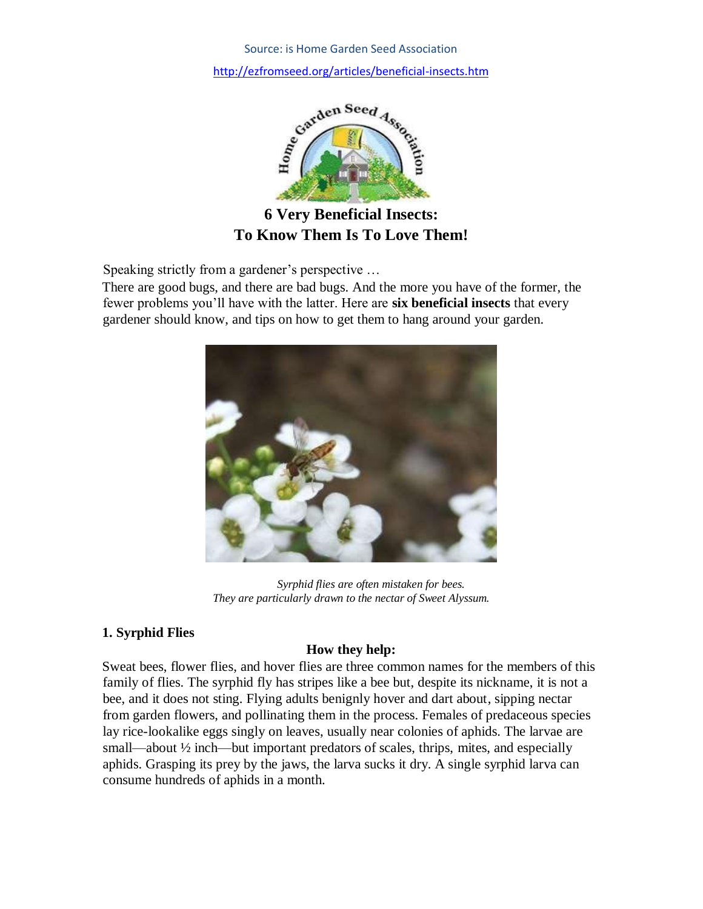

**6 Very Beneficial Insects: To Know Them Is To Love Them!** 

Speaking strictly from a gardener's perspective …

There are good bugs, and there are bad bugs. And the more you have of the former, the fewer problems you'll have with the latter. Here are **six beneficial insects** that every gardener should know, and tips on how to get them to hang around your garden.



*Syrphid flies are often mistaken for bees. They are particularly drawn to the nectar of Sweet Alyssum.* 

# **1. Syrphid Flies**

# **How they help:**

Sweat bees, flower flies, and hover flies are three common names for the members of this family of flies. The syrphid fly has stripes like a bee but, despite its nickname, it is not a bee, and it does not sting. Flying adults benignly hover and dart about, sipping nectar from garden flowers, and pollinating them in the process. Females of predaceous species lay rice-lookalike eggs singly on leaves, usually near colonies of aphids. The larvae are small—about <sup>1</sup>/<sub>2</sub> inch—but important predators of scales, thrips, mites, and especially aphids. Grasping its prey by the jaws, the larva sucks it dry. A single syrphid larva can consume hundreds of aphids in a month.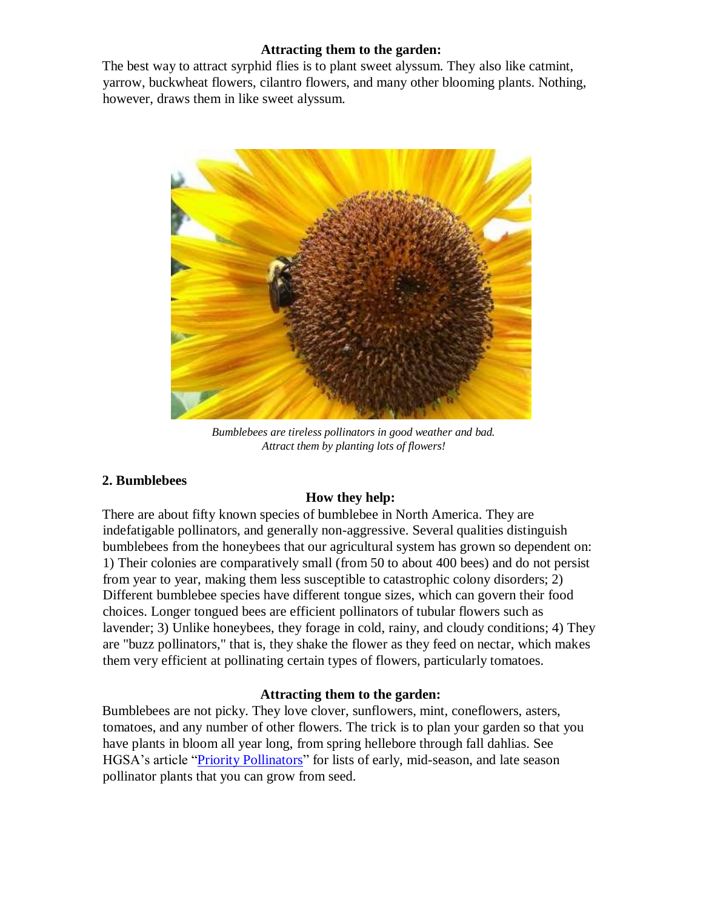### **Attracting them to the garden:**

The best way to attract syrphid flies is to plant sweet alyssum. They also like catmint, yarrow, buckwheat flowers, cilantro flowers, and many other blooming plants. Nothing, however, draws them in like sweet alyssum.



*Bumblebees are tireless pollinators in good weather and bad. Attract them by planting lots of flowers!* 

## **2. Bumblebees**

## **How they help:**

There are about fifty known species of bumblebee in North America. They are indefatigable pollinators, and generally non-aggressive. Several qualities distinguish bumblebees from the honeybees that our agricultural system has grown so dependent on: 1) Their colonies are comparatively small (from 50 to about 400 bees) and do not persist from year to year, making them less susceptible to catastrophic colony disorders; 2) Different bumblebee species have different tongue sizes, which can govern their food choices. Longer tongued bees are efficient pollinators of tubular flowers such as lavender; 3) Unlike honeybees, they forage in cold, rainy, and cloudy conditions; 4) They are "buzz pollinators," that is, they shake the flower as they feed on nectar, which makes them very efficient at pollinating certain types of flowers, particularly tomatoes.

## **Attracting them to the garden:**

Bumblebees are not picky. They love clover, sunflowers, mint, coneflowers, asters, tomatoes, and any number of other flowers. The trick is to plan your garden so that you have plants in bloom all year long, from spring hellebore through fall dahlias. See HGSA's article ["Priority Pollinators"](http://www.ezfromseed.org/articles/pollinator.htm) for lists of early, mid-season, and late season pollinator plants that you can grow from seed.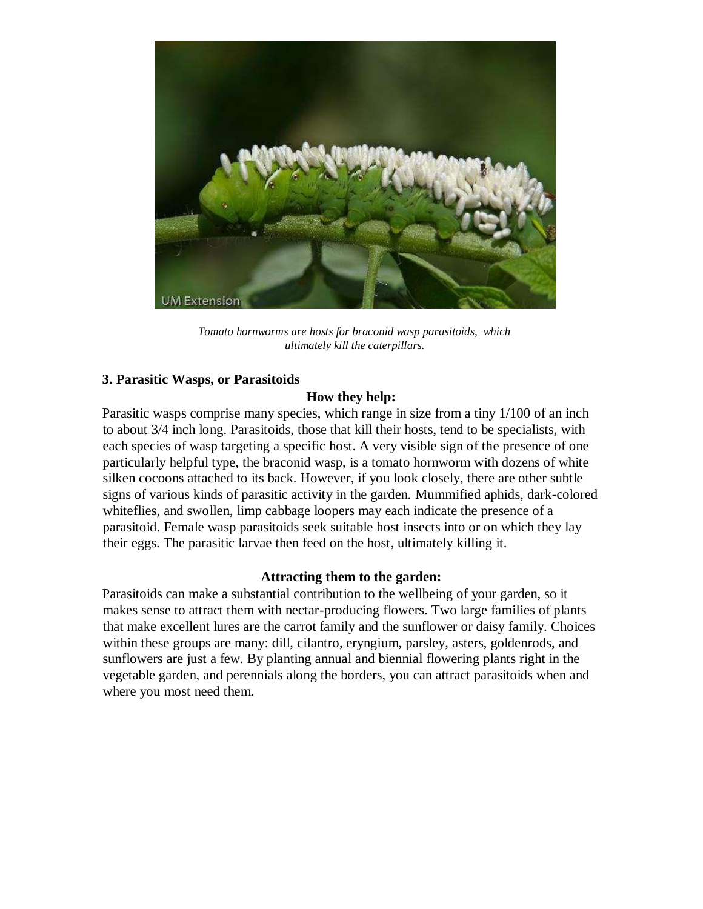

*Tomato hornworms are hosts for braconid wasp parasitoids, which ultimately kill the caterpillars.* 

### **3. Parasitic Wasps, or Parasitoids**

#### **How they help:**

Parasitic wasps comprise many species, which range in size from a tiny 1/100 of an inch to about 3/4 inch long. Parasitoids, those that kill their hosts, tend to be specialists, with each species of wasp targeting a specific host. A very visible sign of the presence of one particularly helpful type, the braconid wasp, is a tomato hornworm with dozens of white silken cocoons attached to its back. However, if you look closely, there are other subtle signs of various kinds of parasitic activity in the garden. Mummified aphids, dark-colored whiteflies, and swollen, limp cabbage loopers may each indicate the presence of a parasitoid. Female wasp parasitoids seek suitable host insects into or on which they lay their eggs. The parasitic larvae then feed on the host, ultimately killing it.

#### **Attracting them to the garden:**

Parasitoids can make a substantial contribution to the wellbeing of your garden, so it makes sense to attract them with nectar-producing flowers. Two large families of plants that make excellent lures are the carrot family and the sunflower or daisy family. Choices within these groups are many: dill, cilantro, eryngium, parsley, asters, goldenrods, and sunflowers are just a few. By planting annual and biennial flowering plants right in the vegetable garden, and perennials along the borders, you can attract parasitoids when and where you most need them.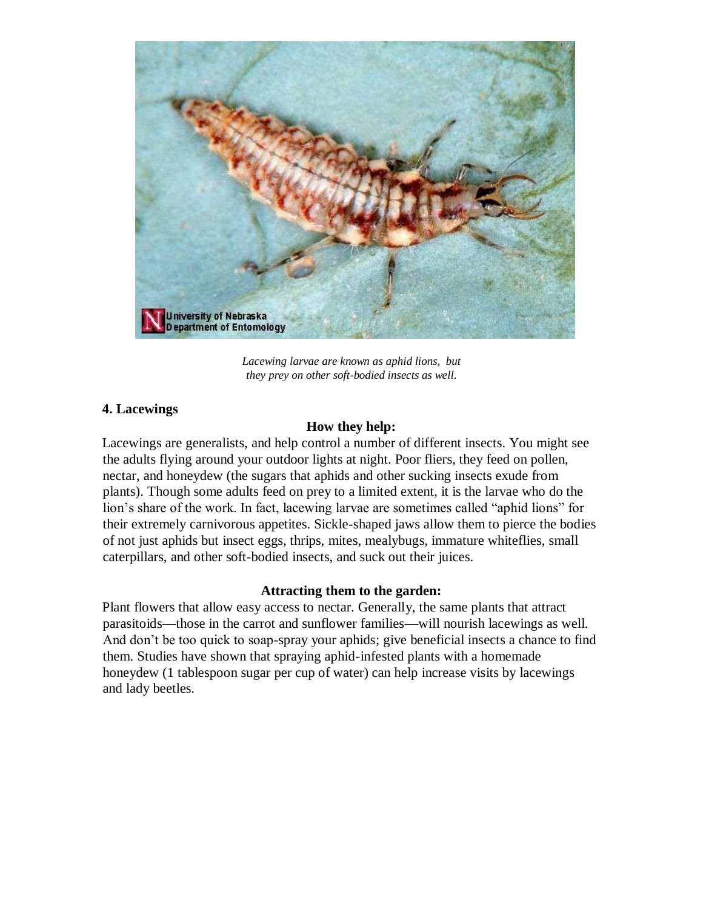

*Lacewing larvae are known as aphid lions, but they prey on other soft-bodied insects as well.* 

### **4. Lacewings**

#### **How they help:**

Lacewings are generalists, and help control a number of different insects. You might see the adults flying around your outdoor lights at night. Poor fliers, they feed on pollen, nectar, and honeydew (the sugars that aphids and other sucking insects exude from plants). Though some adults feed on prey to a limited extent, it is the larvae who do the lion's share of the work. In fact, lacewing larvae are sometimes called "aphid lions" for their extremely carnivorous appetites. Sickle-shaped jaws allow them to pierce the bodies of not just aphids but insect eggs, thrips, mites, mealybugs, immature whiteflies, small caterpillars, and other soft-bodied insects, and suck out their juices.

#### **Attracting them to the garden:**

Plant flowers that allow easy access to nectar. Generally, the same plants that attract parasitoids—those in the carrot and sunflower families—will nourish lacewings as well. And don't be too quick to soap-spray your aphids; give beneficial insects a chance to find them. Studies have shown that spraying aphid-infested plants with a homemade honeydew (1 tablespoon sugar per cup of water) can help increase visits by lacewings and lady beetles.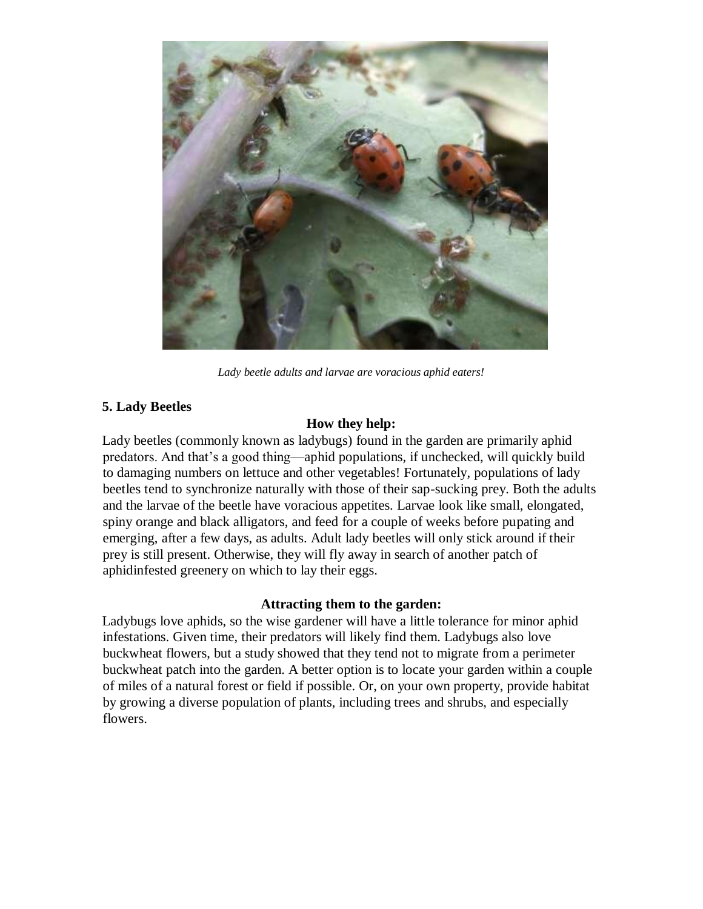

*Lady beetle adults and larvae are voracious aphid eaters!* 

## **5. Lady Beetles**

## **How they help:**

Lady beetles (commonly known as ladybugs) found in the garden are primarily aphid predators. And that's a good thing—aphid populations, if unchecked, will quickly build to damaging numbers on lettuce and other vegetables! Fortunately, populations of lady beetles tend to synchronize naturally with those of their sap-sucking prey. Both the adults and the larvae of the beetle have voracious appetites. Larvae look like small, elongated, spiny orange and black alligators, and feed for a couple of weeks before pupating and emerging, after a few days, as adults. Adult lady beetles will only stick around if their prey is still present. Otherwise, they will fly away in search of another patch of aphidinfested greenery on which to lay their eggs.

## **Attracting them to the garden:**

Ladybugs love aphids, so the wise gardener will have a little tolerance for minor aphid infestations. Given time, their predators will likely find them. Ladybugs also love buckwheat flowers, but a study showed that they tend not to migrate from a perimeter buckwheat patch into the garden. A better option is to locate your garden within a couple of miles of a natural forest or field if possible. Or, on your own property, provide habitat by growing a diverse population of plants, including trees and shrubs, and especially flowers.